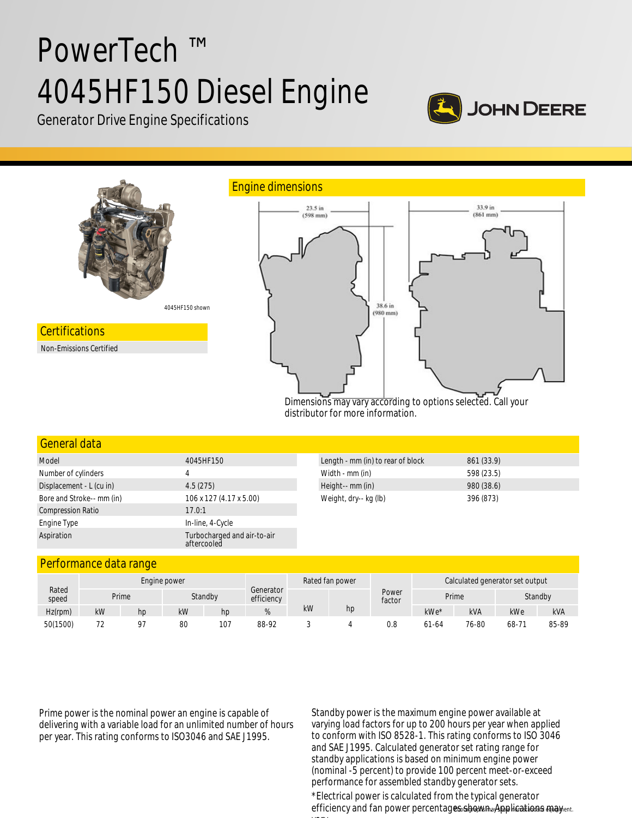# PowerTech ™ 4045HF150 Diesel Engine



Generator Drive Engine Specifications



distributor for more information.

| General data              |                                            |                                   |            |
|---------------------------|--------------------------------------------|-----------------------------------|------------|
| Model                     | 4045HF150                                  | Length - mm (in) to rear of block | 861 (33.9) |
| Number of cylinders       | 4                                          | Width - mm (in)                   | 598 (23.5) |
| Displacement - L (cu in)  | 4.5(275)                                   | Height-- mm (in)                  | 980 (38.6) |
| Bore and Stroke-- mm (in) | 106 x 127 (4.17 x 5.00)                    | Weight, dry-- kg (lb)             | 396 (873)  |
| <b>Compression Ratio</b>  | 17.0:1                                     |                                   |            |
| Engine Type               | In-line, 4-Cycle                           |                                   |            |
| Aspiration                | Turbocharged and air-to-air<br>aftercooled |                                   |            |

# Performance data range

|                | Engine power |    |    |         |                         | Rated fan power |    | Calculated generator set output |           |       |         |            |
|----------------|--------------|----|----|---------|-------------------------|-----------------|----|---------------------------------|-----------|-------|---------|------------|
| Rated<br>speed | Prime        |    |    | Standby | Generator<br>efficiency |                 |    | Power<br>factor                 | Prime     |       | Standby |            |
| Hz(rpm)        | kW           | hp | kW | hp      | 70                      | kW              | hp |                                 | kWe*      | kVA   | kWe     | <b>kVA</b> |
| 50(1500)       | $\neg$<br>້. | 07 | 80 | 107     | 88-92                   |                 |    | 0.8                             | $61 - 64$ | 76-80 | 68-71   | 85-89      |

Prime power is the nominal power an engine is capable of delivering with a variable load for an unlimited number of hours per year. This rating conforms to ISO3046 and SAE J1995.

Standby power is the maximum engine power available at varying load factors for up to 200 hours per year when applied to conform with ISO 8528-1. This rating conforms to ISO 3046 and SAE J1995. Calculated generator set rating range for standby applications is based on minimum engine power (nominal -5 percent) to provide 100 percent meet-or-exceed performance for assembled standby generator sets.

efficiency and fan power percentages shown a Applications may <sub>ent.</sub> \*Electrical power is calculated from the typical generator